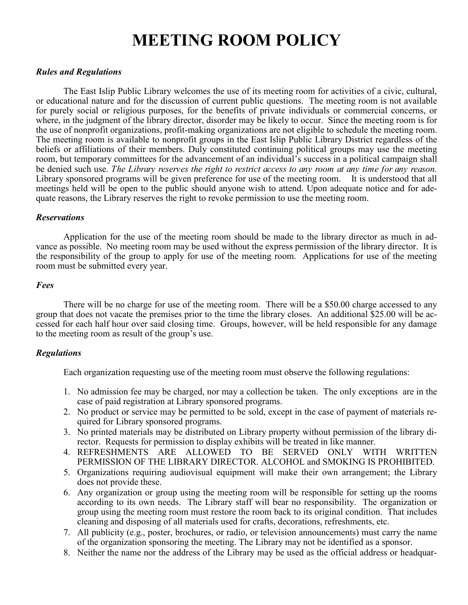# **MEETING ROOM POLICY**

### *Rules and Regulations*

The East Islip Public Library welcomes the use of its meeting room for activities of a civic, cultural, or educational nature and for the discussion of current public questions. The meeting room is not available for purely social or religious purposes, for the benefits of private individuals or commercial concerns, or where, in the judgment of the library director, disorder may be likely to occur. Since the meeting room is for the use of nonprofit organizations, profit-making organizations are not eligible to schedule the meeting room. The meeting room is available to nonprofit groups in the East Islip Public Library District regardless of the beliefs or affiliations of their members. Duly constituted continuing political groups may use the meeting room, but temporary committees for the advancement of an individual's success in a political campaign shall be denied such use. *The Library reserves the right to restrict access to any room at any time for any reason.*  Library sponsored programs will be given preference for use of the meeting room. It is understood that all meetings held will be open to the public should anyone wish to attend. Upon adequate notice and for adequate reasons, the Library reserves the right to revoke permission to use the meeting room.

#### *Reservations*

Application for the use of the meeting room should be made to the library director as much in advance as possible. No meeting room may be used without the express permission of the library director. It is the responsibility of the group to apply for use of the meeting room. Applications for use of the meeting room must be submitted every year.

#### *Fees*

There will be no charge for use of the meeting room. There will be a \$50.00 charge accessed to any group that does not vacate the premises prior to the time the library closes. An additional \$25.00 will be accessed for each half hour over said closing time. Groups, however, will be held responsible for any damage to the meeting room as result of the group's use.

## *Regulations*

Each organization requesting use of the meeting room must observe the following regulations:

- 1. No admission fee may be charged, nor may a collection be taken. The only exceptions are in the case of paid registration at Library sponsored programs.
- 2. No product or service may be permitted to be sold, except in the case of payment of materials required for Library sponsored programs.
- 3. No printed materials may be distributed on Library property without permission of the library director. Requests for permission to display exhibits will be treated in like manner.
- 4. REFRESHMENTS ARE ALLOWED TO BE SERVED ONLY WITH WRITTEN PERMISSION OF THE LIBRARY DIRECTOR. ALCOHOL and SMOKING IS PROHIBITED.
- 5. Organizations requiring audiovisual equipment will make their own arrangement; the Library does not provide these.
- 6. Any organization or group using the meeting room will be responsible for setting up the rooms according to its own needs. The Library staff will bear no responsibility. The organization or group using the meeting room must restore the room back to its original condition. That includes cleaning and disposing of all materials used for crafts, decorations, refreshments, etc.
- 7. All publicity (e.g., poster, brochures, or radio, or television announcements) must carry the name of the organization sponsoring the meeting. The Library may not be identified as a sponsor.
- 8. Neither the name nor the address of the Library may be used as the official address or headquar-